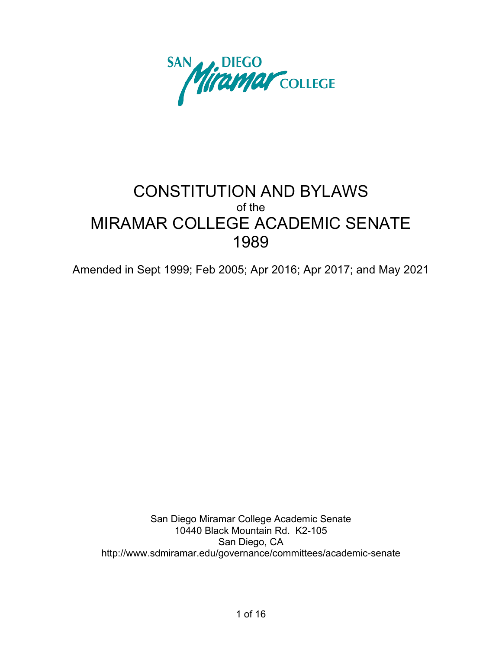

# CONSTITUTION AND BYLAWS of the MIRAMAR COLLEGE ACADEMIC SENATE 1989

Amended in Sept 1999; Feb 2005; Apr 2016; Apr 2017; and May 2021

San Diego Miramar College Academic Senate 10440 Black Mountain Rd. K2-105 San Diego, CA http://www.sdmiramar.edu/governance/committees/academic-senate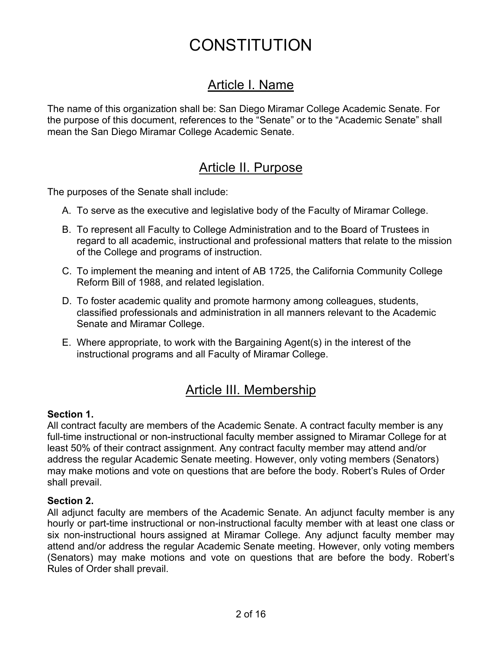# CONSTITUTION

# Article I. Name

The name of this organization shall be: San Diego Miramar College Academic Senate. For the purpose of this document, references to the "Senate" or to the "Academic Senate" shall mean the San Diego Miramar College Academic Senate.

# Article II. Purpose

The purposes of the Senate shall include:

- A. To serve as the executive and legislative body of the Faculty of Miramar College.
- B. To represent all Faculty to College Administration and to the Board of Trustees in regard to all academic, instructional and professional matters that relate to the mission of the College and programs of instruction.
- C. To implement the meaning and intent of AB 1725, the California Community College Reform Bill of 1988, and related legislation.
- D. To foster academic quality and promote harmony among colleagues, students, classified professionals and administration in all manners relevant to the Academic Senate and Miramar College.
- E. Where appropriate, to work with the Bargaining Agent(s) in the interest of the instructional programs and all Faculty of Miramar College.

# Article III. Membership

#### **Section 1.**

All contract faculty are members of the Academic Senate. A contract faculty member is any full-time instructional or non-instructional faculty member assigned to Miramar College for at least 50% of their contract assignment. Any contract faculty member may attend and/or address the regular Academic Senate meeting. However, only voting members (Senators) may make motions and vote on questions that are before the body. Robert's Rules of Order shall prevail.

#### **Section 2.**

All adjunct faculty are members of the Academic Senate. An adjunct faculty member is any hourly or part-time instructional or non-instructional faculty member with at least one class or six non-instructional hours assigned at Miramar College. Any adjunct faculty member may attend and/or address the regular Academic Senate meeting. However, only voting members (Senators) may make motions and vote on questions that are before the body. Robert's Rules of Order shall prevail.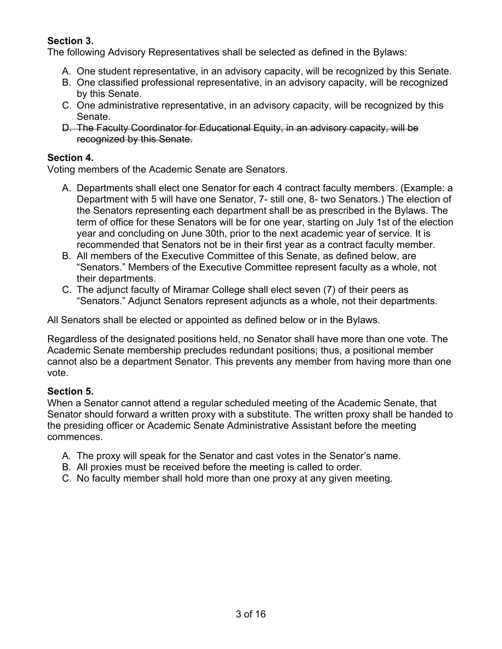### **Section 3.**

The following Advisory Representatives shall be selected as defined in the Bylaws:

- A. One student representative, in an advisory capacity, will be recognized by this Senate.
- B. One classified professional representative, in an advisory capacity, will be recognized by this Senate.
- C. One administrative representative, in an advisory capacity, will be recognized by this Senate.
- D. The Faculty Coordinator for Educational Equity, in an advisory capacity, will be recognized by this Senate.

### **Section 4.**

Voting members of the Academic Senate are Senators.

- A. Departments shall elect one Senator for each 4 contract faculty members. (Example: a Department with 5 will have one Senator, 7- still one, 8- two Senators.) The election of the Senators representing each department shall be as prescribed in the Bylaws. The term of office for these Senators will be for one year, starting on July 1st of the election year and concluding on June 30th, prior to the next academic year of service. It is recommended that Senators not be in their first year as a contract faculty member.
- B. All members of the Executive Committee of this Senate, as defined below, are "Senators." Members of the Executive Committee represent faculty as a whole, not their departments.
- C. The adjunct faculty of Miramar College shall elect seven (7) of their peers as "Senators." Adjunct Senators represent adjuncts as a whole, not their departments.

All Senators shall be elected or appointed as defined below or in the Bylaws.

Regardless of the designated positions held, no Senator shall have more than one vote. The Academic Senate membership precludes redundant positions; thus, a positional member cannot also be a department Senator. This prevents any member from having more than one vote.

### **Section 5.**

When a Senator cannot attend a regular scheduled meeting of the Academic Senate, that Senator should forward a written proxy with a substitute. The written proxy shall be handed to the presiding officer or Academic Senate Administrative Assistant before the meeting commences.

- A. The proxy will speak for the Senator and cast votes in the Senator's name.
- B. All proxies must be received before the meeting is called to order.
- C. No faculty member shall hold more than one proxy at any given meeting.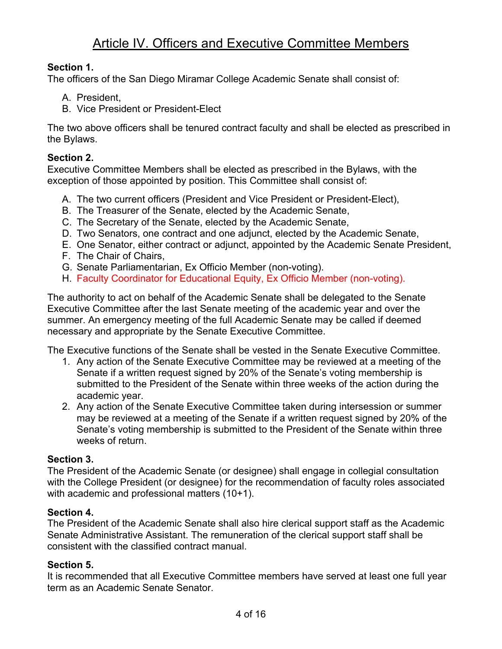# Article IV. Officers and Executive Committee Members

### **Section 1.**

The officers of the San Diego Miramar College Academic Senate shall consist of:

- A President
- B. Vice President or President-Elect

The two above officers shall be tenured contract faculty and shall be elected as prescribed in the Bylaws.

### **Section 2.**

Executive Committee Members shall be elected as prescribed in the Bylaws, with the exception of those appointed by position. This Committee shall consist of:

- A. The two current officers (President and Vice President or President-Elect),
- B. The Treasurer of the Senate, elected by the Academic Senate,
- C. The Secretary of the Senate, elected by the Academic Senate,
- D. Two Senators, one contract and one adjunct, elected by the Academic Senate,
- E. One Senator, either contract or adjunct, appointed by the Academic Senate President,
- F. The Chair of Chairs,
- G. Senate Parliamentarian, Ex Officio Member (non-voting).
- H. Faculty Coordinator for Educational Equity, Ex Officio Member (non-voting).

The authority to act on behalf of the Academic Senate shall be delegated to the Senate Executive Committee after the last Senate meeting of the academic year and over the summer. An emergency meeting of the full Academic Senate may be called if deemed necessary and appropriate by the Senate Executive Committee.

The Executive functions of the Senate shall be vested in the Senate Executive Committee.

- 1. Any action of the Senate Executive Committee may be reviewed at a meeting of the Senate if a written request signed by 20% of the Senate's voting membership is submitted to the President of the Senate within three weeks of the action during the academic year.
- 2. Any action of the Senate Executive Committee taken during intersession or summer may be reviewed at a meeting of the Senate if a written request signed by 20% of the Senate's voting membership is submitted to the President of the Senate within three weeks of return.

### **Section 3.**

The President of the Academic Senate (or designee) shall engage in collegial consultation with the College President (or designee) for the recommendation of faculty roles associated with academic and professional matters (10+1).

### **Section 4.**

The President of the Academic Senate shall also hire clerical support staff as the Academic Senate Administrative Assistant. The remuneration of the clerical support staff shall be consistent with the classified contract manual.

### **Section 5.**

It is recommended that all Executive Committee members have served at least one full year term as an Academic Senate Senator.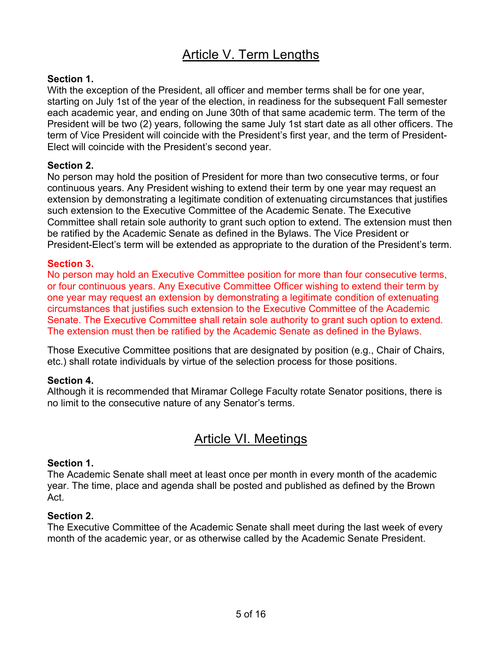# Article V. Term Lengths

### **Section 1.**

With the exception of the President, all officer and member terms shall be for one year, starting on July 1st of the year of the election, in readiness for the subsequent Fall semester each academic year, and ending on June 30th of that same academic term. The term of the President will be two (2) years, following the same July 1st start date as all other officers. The term of Vice President will coincide with the President's first year, and the term of President-Elect will coincide with the President's second year.

#### **Section 2.**

No person may hold the position of President for more than two consecutive terms, or four continuous years. Any President wishing to extend their term by one year may request an extension by demonstrating a legitimate condition of extenuating circumstances that justifies such extension to the Executive Committee of the Academic Senate. The Executive Committee shall retain sole authority to grant such option to extend. The extension must then be ratified by the Academic Senate as defined in the Bylaws. The Vice President or President-Elect's term will be extended as appropriate to the duration of the President's term.

#### **Section 3.**

No person may hold an Executive Committee position for more than four consecutive terms, or four continuous years. Any Executive Committee Officer wishing to extend their term by one year may request an extension by demonstrating a legitimate condition of extenuating circumstances that justifies such extension to the Executive Committee of the Academic Senate. The Executive Committee shall retain sole authority to grant such option to extend. The extension must then be ratified by the Academic Senate as defined in the Bylaws.

Those Executive Committee positions that are designated by position (e.g., Chair of Chairs, etc.) shall rotate individuals by virtue of the selection process for those positions.

#### **Section 4.**

Although it is recommended that Miramar College Faculty rotate Senator positions, there is no limit to the consecutive nature of any Senator's terms.

# Article VI. Meetings

#### **Section 1.**

The Academic Senate shall meet at least once per month in every month of the academic year. The time, place and agenda shall be posted and published as defined by the Brown Act.

#### **Section 2.**

The Executive Committee of the Academic Senate shall meet during the last week of every month of the academic year, or as otherwise called by the Academic Senate President.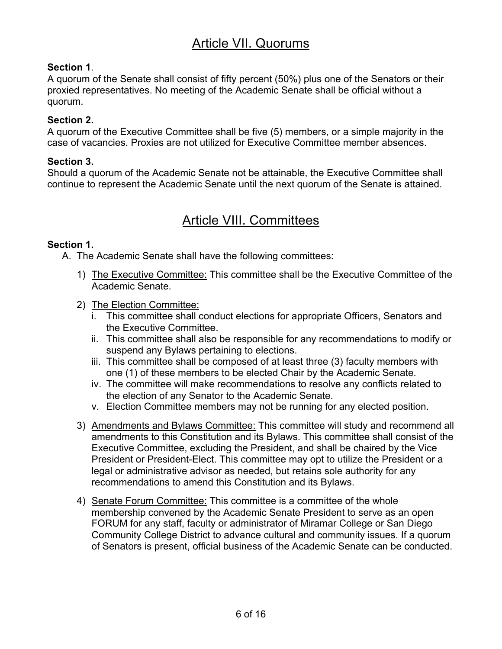# Article VII. Quorums

### **Section 1**.

A quorum of the Senate shall consist of fifty percent (50%) plus one of the Senators or their proxied representatives. No meeting of the Academic Senate shall be official without a quorum.

#### **Section 2.**

A quorum of the Executive Committee shall be five (5) members, or a simple majority in the case of vacancies. Proxies are not utilized for Executive Committee member absences.

#### **Section 3.**

Should a quorum of the Academic Senate not be attainable, the Executive Committee shall continue to represent the Academic Senate until the next quorum of the Senate is attained.

# Article VIII. Committees

#### **Section 1.**

A. The Academic Senate shall have the following committees:

- 1) The Executive Committee: This committee shall be the Executive Committee of the Academic Senate.
- 2) The Election Committee:
	- i. This committee shall conduct elections for appropriate Officers, Senators and the Executive Committee.
	- ii. This committee shall also be responsible for any recommendations to modify or suspend any Bylaws pertaining to elections.
	- iii. This committee shall be composed of at least three (3) faculty members with one (1) of these members to be elected Chair by the Academic Senate.
	- iv. The committee will make recommendations to resolve any conflicts related to the election of any Senator to the Academic Senate.
	- v. Election Committee members may not be running for any elected position.
- 3) Amendments and Bylaws Committee: This committee will study and recommend all amendments to this Constitution and its Bylaws. This committee shall consist of the Executive Committee, excluding the President, and shall be chaired by the Vice President or President-Elect. This committee may opt to utilize the President or a legal or administrative advisor as needed, but retains sole authority for any recommendations to amend this Constitution and its Bylaws.
- 4) Senate Forum Committee: This committee is a committee of the whole membership convened by the Academic Senate President to serve as an open FORUM for any staff, faculty or administrator of Miramar College or San Diego Community College District to advance cultural and community issues. If a quorum of Senators is present, official business of the Academic Senate can be conducted.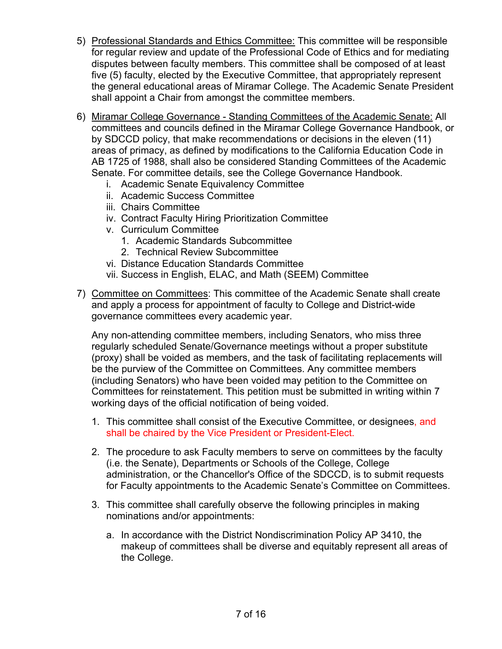- 5) Professional Standards and Ethics Committee: This committee will be responsible for regular review and update of the Professional Code of Ethics and for mediating disputes between faculty members. This committee shall be composed of at least five (5) faculty, elected by the Executive Committee, that appropriately represent the general educational areas of Miramar College. The Academic Senate President shall appoint a Chair from amongst the committee members.
- 6) Miramar College Governance Standing Committees of the Academic Senate: All committees and councils defined in the Miramar College Governance Handbook, or by SDCCD policy, that make recommendations or decisions in the eleven (11) areas of primacy, as defined by modifications to the California Education Code in AB 1725 of 1988, shall also be considered Standing Committees of the Academic Senate. For committee details, see the College Governance Handbook.
	- i. Academic Senate Equivalency Committee
	- ii. Academic Success Committee
	- iii. Chairs Committee
	- iv. Contract Faculty Hiring Prioritization Committee
	- v. Curriculum Committee
		- 1. Academic Standards Subcommittee
		- 2. Technical Review Subcommittee
	- vi. Distance Education Standards Committee
	- vii. Success in English, ELAC, and Math (SEEM) Committee
- 7) Committee on Committees: This committee of the Academic Senate shall create and apply a process for appointment of faculty to College and District-wide governance committees every academic year.

Any non-attending committee members, including Senators, who miss three regularly scheduled Senate/Governance meetings without a proper substitute (proxy) shall be voided as members, and the task of facilitating replacements will be the purview of the Committee on Committees. Any committee members (including Senators) who have been voided may petition to the Committee on Committees for reinstatement. This petition must be submitted in writing within 7 working days of the official notification of being voided.

- 1. This committee shall consist of the Executive Committee, or designees, and shall be chaired by the Vice President or President-Elect.
- 2. The procedure to ask Faculty members to serve on committees by the faculty (i.e. the Senate), Departments or Schools of the College, College administration, or the Chancellor's Office of the SDCCD, is to submit requests for Faculty appointments to the Academic Senate's Committee on Committees.
- 3. This committee shall carefully observe the following principles in making nominations and/or appointments:
	- a. In accordance with the District Nondiscrimination Policy AP 3410, the makeup of committees shall be diverse and equitably represent all areas of the College.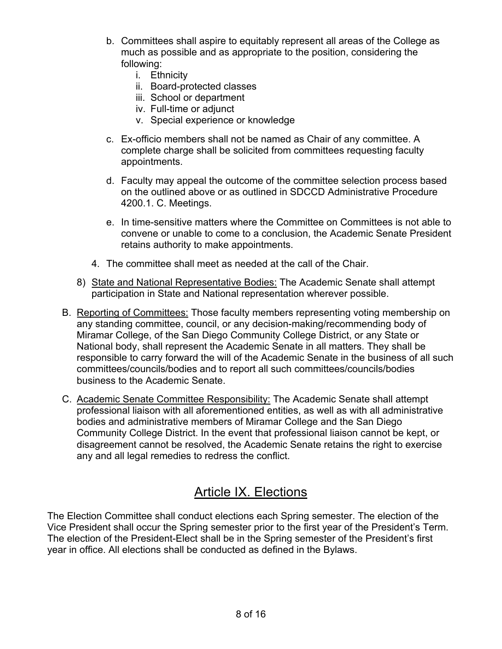- b. Committees shall aspire to equitably represent all areas of the College as much as possible and as appropriate to the position, considering the following:
	- i. Ethnicity
	- ii. Board-protected classes
	- iii. School or department
	- iv. Full-time or adjunct
	- v. Special experience or knowledge
- c. Ex-officio members shall not be named as Chair of any committee. A complete charge shall be solicited from committees requesting faculty appointments.
- d. Faculty may appeal the outcome of the committee selection process based on the outlined above or as outlined in SDCCD Administrative Procedure 4200.1. C. Meetings.
- e. In time-sensitive matters where the Committee on Committees is not able to convene or unable to come to a conclusion, the Academic Senate President retains authority to make appointments.
- 4. The committee shall meet as needed at the call of the Chair.
- 8) State and National Representative Bodies: The Academic Senate shall attempt participation in State and National representation wherever possible.
- B. Reporting of Committees: Those faculty members representing voting membership on any standing committee, council, or any decision-making/recommending body of Miramar College, of the San Diego Community College District, or any State or National body, shall represent the Academic Senate in all matters. They shall be responsible to carry forward the will of the Academic Senate in the business of all such committees/councils/bodies and to report all such committees/councils/bodies business to the Academic Senate.
- C. Academic Senate Committee Responsibility: The Academic Senate shall attempt professional liaison with all aforementioned entities, as well as with all administrative bodies and administrative members of Miramar College and the San Diego Community College District. In the event that professional liaison cannot be kept, or disagreement cannot be resolved, the Academic Senate retains the right to exercise any and all legal remedies to redress the conflict.

# Article IX. Elections

The Election Committee shall conduct elections each Spring semester. The election of the Vice President shall occur the Spring semester prior to the first year of the President's Term. The election of the President-Elect shall be in the Spring semester of the President's first year in office. All elections shall be conducted as defined in the Bylaws.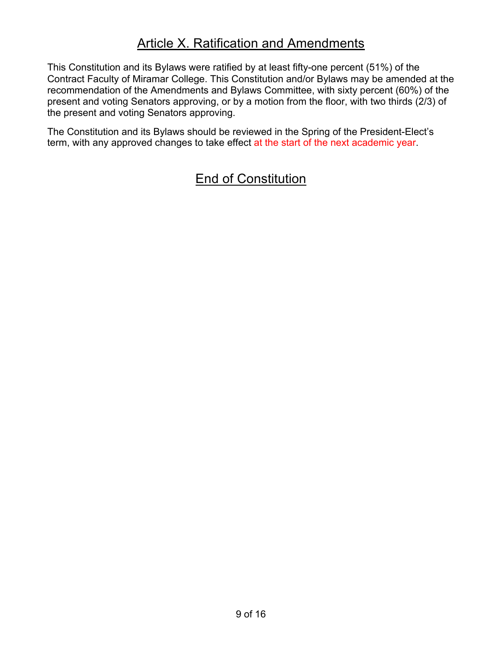# Article X. Ratification and Amendments

This Constitution and its Bylaws were ratified by at least fifty-one percent (51%) of the Contract Faculty of Miramar College. This Constitution and/or Bylaws may be amended at the recommendation of the Amendments and Bylaws Committee, with sixty percent (60%) of the present and voting Senators approving, or by a motion from the floor, with two thirds (2/3) of the present and voting Senators approving.

The Constitution and its Bylaws should be reviewed in the Spring of the President-Elect's term, with any approved changes to take effect at the start of the next academic year.

# End of Constitution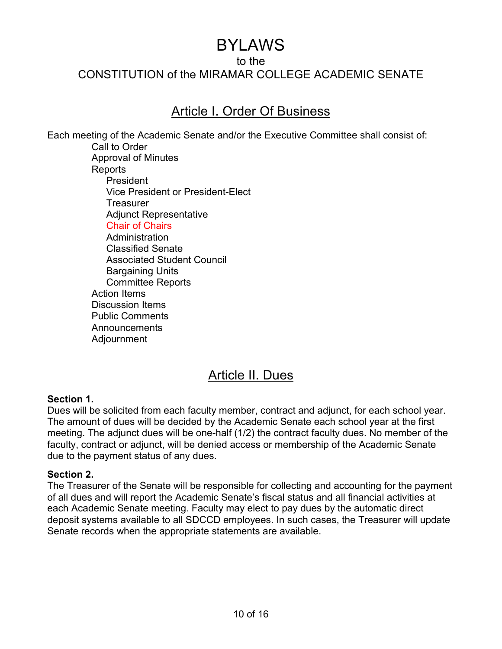# BYLAWS

to the

CONSTITUTION of the MIRAMAR COLLEGE ACADEMIC SENATE

# Article I. Order Of Business

Each meeting of the Academic Senate and/or the Executive Committee shall consist of: Call to Order Approval of Minutes Reports President Vice President or President-Elect **Treasurer** Adjunct Representative Chair of Chairs Administration Classified Senate Associated Student Council Bargaining Units Committee Reports Action Items Discussion Items Public Comments Announcements Adjournment

# Article II. Dues

#### **Section 1.**

Dues will be solicited from each faculty member, contract and adjunct, for each school year. The amount of dues will be decided by the Academic Senate each school year at the first meeting. The adjunct dues will be one-half (1/2) the contract faculty dues. No member of the faculty, contract or adjunct, will be denied access or membership of the Academic Senate due to the payment status of any dues.

#### **Section 2.**

The Treasurer of the Senate will be responsible for collecting and accounting for the payment of all dues and will report the Academic Senate's fiscal status and all financial activities at each Academic Senate meeting. Faculty may elect to pay dues by the automatic direct deposit systems available to all SDCCD employees. In such cases, the Treasurer will update Senate records when the appropriate statements are available.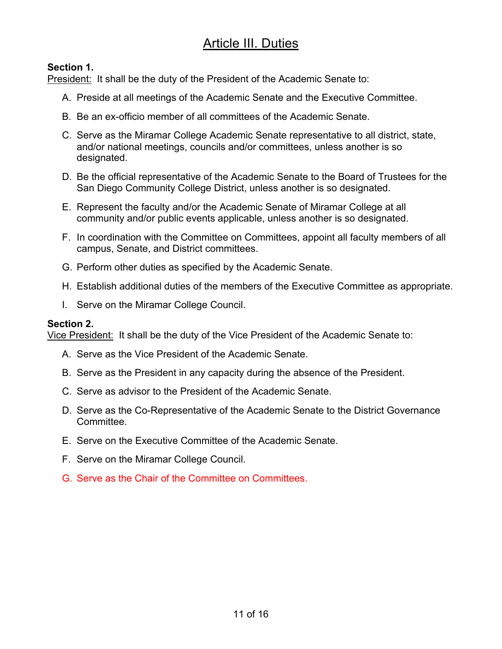# Article III. Duties

### **Section 1.**

President: It shall be the duty of the President of the Academic Senate to:

- A. Preside at all meetings of the Academic Senate and the Executive Committee.
- B. Be an ex-officio member of all committees of the Academic Senate.
- C. Serve as the Miramar College Academic Senate representative to all district, state, and/or national meetings, councils and/or committees, unless another is so designated.
- D. Be the official representative of the Academic Senate to the Board of Trustees for the San Diego Community College District, unless another is so designated.
- E. Represent the faculty and/or the Academic Senate of Miramar College at all community and/or public events applicable, unless another is so designated.
- F. In coordination with the Committee on Committees, appoint all faculty members of all campus, Senate, and District committees.
- G. Perform other duties as specified by the Academic Senate.
- H. Establish additional duties of the members of the Executive Committee as appropriate.
- I. Serve on the Miramar College Council.

### **Section 2.**

Vice President: It shall be the duty of the Vice President of the Academic Senate to:

- A. Serve as the Vice President of the Academic Senate.
- B. Serve as the President in any capacity during the absence of the President.
- C. Serve as advisor to the President of the Academic Senate.
- D. Serve as the Co-Representative of the Academic Senate to the District Governance Committee.
- E. Serve on the Executive Committee of the Academic Senate.
- F. Serve on the Miramar College Council.
- G. Serve as the Chair of the Committee on Committees.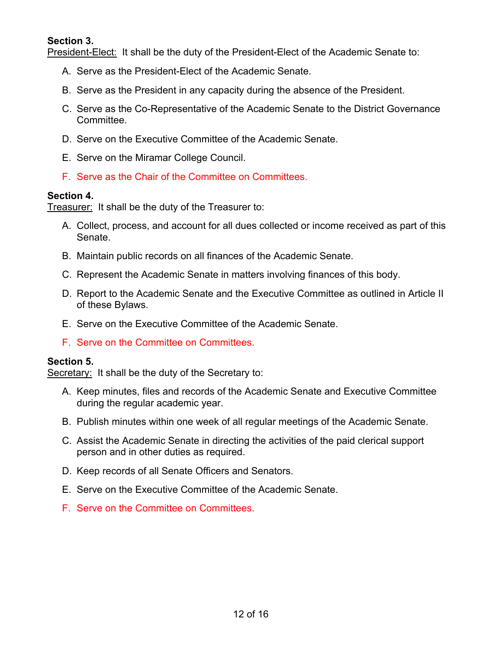#### **Section 3.**

President-Elect: It shall be the duty of the President-Elect of the Academic Senate to:

- A. Serve as the President-Elect of the Academic Senate.
- B. Serve as the President in any capacity during the absence of the President.
- C. Serve as the Co-Representative of the Academic Senate to the District Governance Committee.
- D. Serve on the Executive Committee of the Academic Senate.
- E. Serve on the Miramar College Council.
- F. Serve as the Chair of the Committee on Committees.

#### **Section 4.**

Treasurer: It shall be the duty of the Treasurer to:

- A. Collect, process, and account for all dues collected or income received as part of this Senate.
- B. Maintain public records on all finances of the Academic Senate.
- C. Represent the Academic Senate in matters involving finances of this body.
- D. Report to the Academic Senate and the Executive Committee as outlined in Article II of these Bylaws.
- E. Serve on the Executive Committee of the Academic Senate.
- F. Serve on the Committee on Committees.

#### **Section 5.**

Secretary: It shall be the duty of the Secretary to:

- A. Keep minutes, files and records of the Academic Senate and Executive Committee during the regular academic year.
- B. Publish minutes within one week of all regular meetings of the Academic Senate.
- C. Assist the Academic Senate in directing the activities of the paid clerical support person and in other duties as required.
- D. Keep records of all Senate Officers and Senators.
- E. Serve on the Executive Committee of the Academic Senate.
- F. Serve on the Committee on Committees.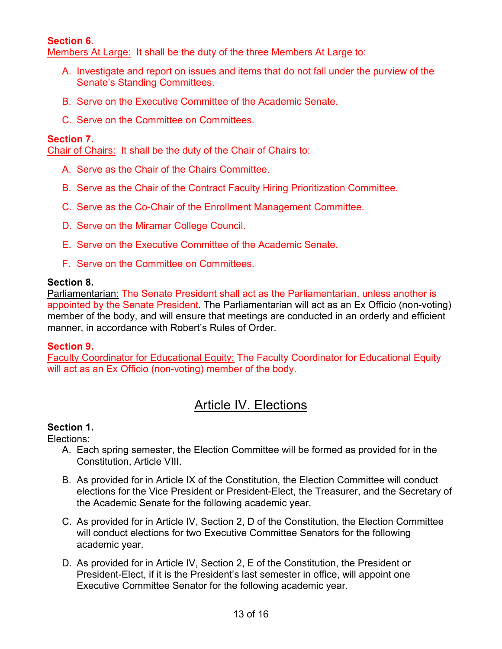### **Section 6.**

Members At Large: It shall be the duty of the three Members At Large to:

- A. Investigate and report on issues and items that do not fall under the purview of the Senate's Standing Committees.
- B. Serve on the Executive Committee of the Academic Senate.
- C. Serve on the Committee on Committees.

#### **Section 7.**

Chair of Chairs: It shall be the duty of the Chair of Chairs to:

- A. Serve as the Chair of the Chairs Committee.
- B. Serve as the Chair of the Contract Faculty Hiring Prioritization Committee.
- C. Serve as the Co-Chair of the Enrollment Management Committee.
- D. Serve on the Miramar College Council.
- E. Serve on the Executive Committee of the Academic Senate.
- F. Serve on the Committee on Committees.

#### **Section 8.**

Parliamentarian: The Senate President shall act as the Parliamentarian, unless another is appointed by the Senate President. The Parliamentarian will act as an Ex Officio (non-voting) member of the body, and will ensure that meetings are conducted in an orderly and efficient manner, in accordance with Robert's Rules of Order.

#### **Section 9.**

Faculty Coordinator for Educational Equity: The Faculty Coordinator for Educational Equity will act as an Ex Officio (non-voting) member of the body.

# Article IV. Elections

### **Section 1.**

Elections:

- A. Each spring semester, the Election Committee will be formed as provided for in the Constitution, Article VIII.
- B. As provided for in Article IX of the Constitution, the Election Committee will conduct elections for the Vice President or President-Elect, the Treasurer, and the Secretary of the Academic Senate for the following academic year.
- C. As provided for in Article IV, Section 2, D of the Constitution, the Election Committee will conduct elections for two Executive Committee Senators for the following academic year.
- D. As provided for in Article IV, Section 2, E of the Constitution, the President or President-Elect, if it is the President's last semester in office, will appoint one Executive Committee Senator for the following academic year.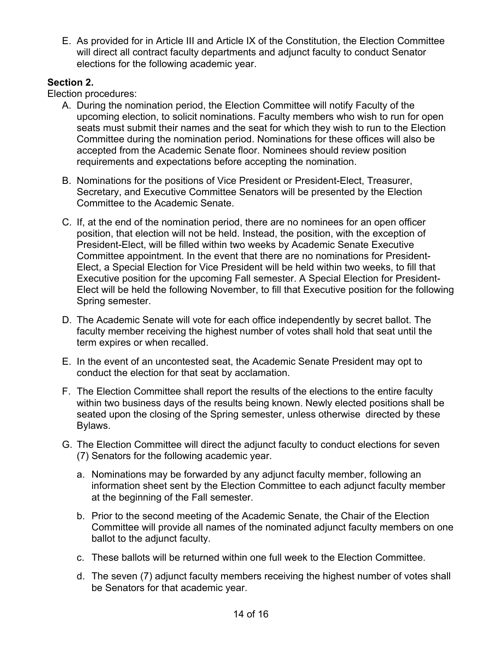E. As provided for in Article III and Article IX of the Constitution, the Election Committee will direct all contract faculty departments and adjunct faculty to conduct Senator elections for the following academic year.

### **Section 2.**

Election procedures:

- A. During the nomination period, the Election Committee will notify Faculty of the upcoming election, to solicit nominations. Faculty members who wish to run for open seats must submit their names and the seat for which they wish to run to the Election Committee during the nomination period. Nominations for these offices will also be accepted from the Academic Senate floor. Nominees should review position requirements and expectations before accepting the nomination.
- B. Nominations for the positions of Vice President or President-Elect, Treasurer, Secretary, and Executive Committee Senators will be presented by the Election Committee to the Academic Senate.
- C. If, at the end of the nomination period, there are no nominees for an open officer position, that election will not be held. Instead, the position, with the exception of President-Elect, will be filled within two weeks by Academic Senate Executive Committee appointment. In the event that there are no nominations for President-Elect, a Special Election for Vice President will be held within two weeks, to fill that Executive position for the upcoming Fall semester. A Special Election for President-Elect will be held the following November, to fill that Executive position for the following Spring semester.
- D. The Academic Senate will vote for each office independently by secret ballot. The faculty member receiving the highest number of votes shall hold that seat until the term expires or when recalled.
- E. In the event of an uncontested seat, the Academic Senate President may opt to conduct the election for that seat by acclamation.
- F. The Election Committee shall report the results of the elections to the entire faculty within two business days of the results being known. Newly elected positions shall be seated upon the closing of the Spring semester, unless otherwise directed by these Bylaws.
- G. The Election Committee will direct the adjunct faculty to conduct elections for seven (7) Senators for the following academic year.
	- a. Nominations may be forwarded by any adjunct faculty member, following an information sheet sent by the Election Committee to each adjunct faculty member at the beginning of the Fall semester.
	- b. Prior to the second meeting of the Academic Senate, the Chair of the Election Committee will provide all names of the nominated adjunct faculty members on one ballot to the adjunct faculty.
	- c. These ballots will be returned within one full week to the Election Committee.
	- d. The seven (7) adjunct faculty members receiving the highest number of votes shall be Senators for that academic year.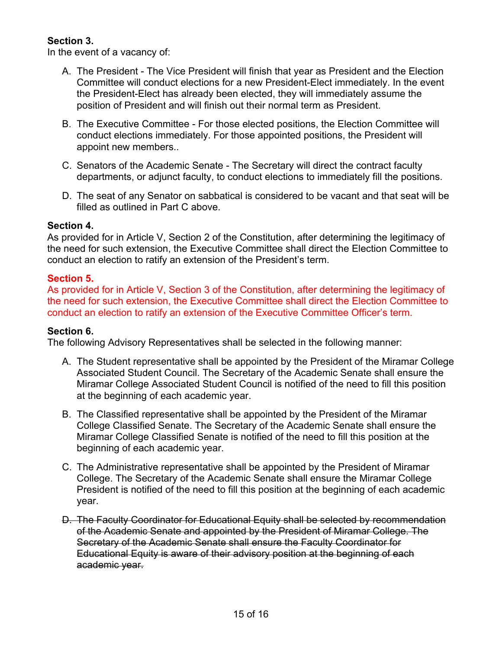### **Section 3.**

In the event of a vacancy of:

- A. The President The Vice President will finish that year as President and the Election Committee will conduct elections for a new President-Elect immediately. In the event the President-Elect has already been elected, they will immediately assume the position of President and will finish out their normal term as President.
- B. The Executive Committee For those elected positions, the Election Committee will conduct elections immediately. For those appointed positions, the President will appoint new members..
- C. Senators of the Academic Senate The Secretary will direct the contract faculty departments, or adjunct faculty, to conduct elections to immediately fill the positions.
- D. The seat of any Senator on sabbatical is considered to be vacant and that seat will be filled as outlined in Part C above.

### **Section 4.**

As provided for in Article V, Section 2 of the Constitution, after determining the legitimacy of the need for such extension, the Executive Committee shall direct the Election Committee to conduct an election to ratify an extension of the President's term.

### **Section 5.**

As provided for in Article V, Section 3 of the Constitution, after determining the legitimacy of the need for such extension, the Executive Committee shall direct the Election Committee to conduct an election to ratify an extension of the Executive Committee Officer's term.

#### **Section 6.**

The following Advisory Representatives shall be selected in the following manner:

- A. The Student representative shall be appointed by the President of the Miramar College Associated Student Council. The Secretary of the Academic Senate shall ensure the Miramar College Associated Student Council is notified of the need to fill this position at the beginning of each academic year.
- B. The Classified representative shall be appointed by the President of the Miramar College Classified Senate. The Secretary of the Academic Senate shall ensure the Miramar College Classified Senate is notified of the need to fill this position at the beginning of each academic year.
- C. The Administrative representative shall be appointed by the President of Miramar College. The Secretary of the Academic Senate shall ensure the Miramar College President is notified of the need to fill this position at the beginning of each academic year.
- D. The Faculty Coordinator for Educational Equity shall be selected by recommendation of the Academic Senate and appointed by the President of Miramar College. The Secretary of the Academic Senate shall ensure the Faculty Coordinator for Educational Equity is aware of their advisory position at the beginning of each academic year.